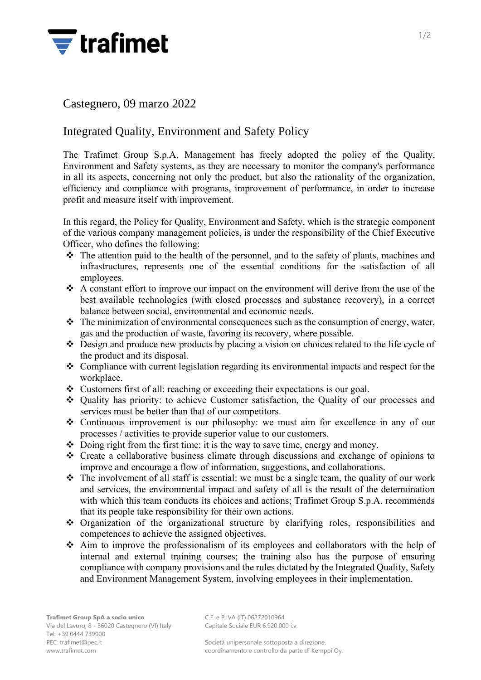

## Castegnero, 09 marzo 2022

## Integrated Quality, Environment and Safety Policy

The Trafimet Group S.p.A. Management has freely adopted the policy of the Quality, Environment and Safety systems, as they are necessary to monitor the company's performance in all its aspects, concerning not only the product, but also the rationality of the organization, efficiency and compliance with programs, improvement of performance, in order to increase profit and measure itself with improvement.

In this regard, the Policy for Quality, Environment and Safety, which is the strategic component of the various company management policies, is under the responsibility of the Chief Executive Officer, who defines the following:

- ❖ The attention paid to the health of the personnel, and to the safety of plants, machines and infrastructures, represents one of the essential conditions for the satisfaction of all employees.
- ❖ A constant effort to improve our impact on the environment will derive from the use of the best available technologies (with closed processes and substance recovery), in a correct balance between social, environmental and economic needs.
- ❖ The minimization of environmental consequences such as the consumption of energy, water, gas and the production of waste, favoring its recovery, where possible.
- ❖ Design and produce new products by placing a vision on choices related to the life cycle of the product and its disposal.
- ❖ Compliance with current legislation regarding its environmental impacts and respect for the workplace.
- ❖ Customers first of all: reaching or exceeding their expectations is our goal.
- ❖ Quality has priority: to achieve Customer satisfaction, the Quality of our processes and services must be better than that of our competitors.
- ❖ Continuous improvement is our philosophy: we must aim for excellence in any of our processes / activities to provide superior value to our customers.
- ❖ Doing right from the first time: it is the way to save time, energy and money.
- ❖ Create a collaborative business climate through discussions and exchange of opinions to improve and encourage a flow of information, suggestions, and collaborations.
- ❖ The involvement of all staff is essential: we must be a single team, the quality of our work and services, the environmental impact and safety of all is the result of the determination with which this team conducts its choices and actions; Trafimet Group S.p.A. recommends that its people take responsibility for their own actions.
- ❖ Organization of the organizational structure by clarifying roles, responsibilities and competences to achieve the assigned objectives.
- ❖ Aim to improve the professionalism of its employees and collaborators with the help of internal and external training courses; the training also has the purpose of ensuring compliance with company provisions and the rules dictated by the Integrated Quality, Safety and Environment Management System, involving employees in their implementation.